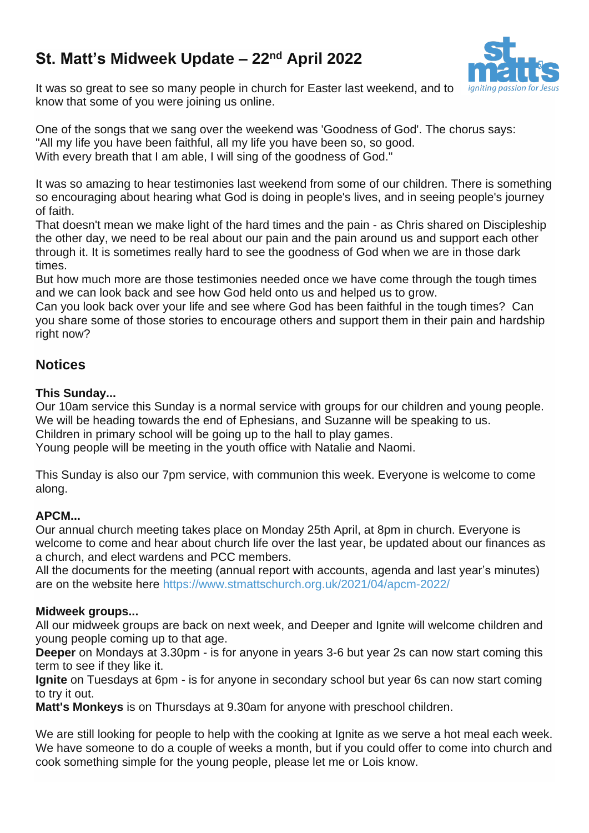# **St. Matt's Midweek Update – 22nd April 2022**



It was so great to see so many people in church for Easter last weekend, and to know that some of you were joining us online.

One of the songs that we sang over the weekend was 'Goodness of God'. The chorus says: "All my life you have been faithful, all my life you have been so, so good. With every breath that I am able, I will sing of the goodness of God."

It was so amazing to hear testimonies last weekend from some of our children. There is something so encouraging about hearing what God is doing in people's lives, and in seeing people's journey of faith.

That doesn't mean we make light of the hard times and the pain - as Chris shared on Discipleship the other day, we need to be real about our pain and the pain around us and support each other through it. It is sometimes really hard to see the goodness of God when we are in those dark times.

But how much more are those testimonies needed once we have come through the tough times and we can look back and see how God held onto us and helped us to grow.

Can you look back over your life and see where God has been faithful in the tough times? Can you share some of those stories to encourage others and support them in their pain and hardship right now?

# **Notices**

### **This Sunday...**

Our 10am service this Sunday is a normal service with groups for our children and young people. We will be heading towards the end of Ephesians, and Suzanne will be speaking to us.

Children in primary school will be going up to the hall to play games.

Young people will be meeting in the youth office with Natalie and Naomi.

This Sunday is also our 7pm service, with communion this week. Everyone is welcome to come along.

## **APCM...**

Our annual church meeting takes place on Monday 25th April, at 8pm in church. Everyone is welcome to come and hear about church life over the last year, be updated about our finances as a church, and elect wardens and PCC members.

All the documents for the meeting (annual report with accounts, agenda and last year's minutes) are on the website here <https://www.stmattschurch.org.uk/2021/04/apcm-2022/>

#### **Midweek groups...**

All our midweek groups are back on next week, and Deeper and Ignite will welcome children and young people coming up to that age.

**Deeper** on Mondays at 3.30pm - is for anyone in years 3-6 but year 2s can now start coming this term to see if they like it.

**Ignite** on Tuesdays at 6pm - is for anyone in secondary school but year 6s can now start coming to try it out.

**Matt's Monkeys** is on Thursdays at 9.30am for anyone with preschool children.

We are still looking for people to help with the cooking at Ignite as we serve a hot meal each week. We have someone to do a couple of weeks a month, but if you could offer to come into church and cook something simple for the young people, please let me or Lois know.